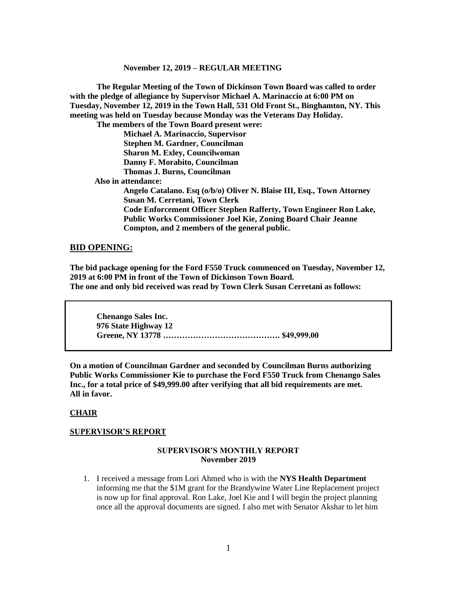**The Regular Meeting of the Town of Dickinson Town Board was called to order with the pledge of allegiance by Supervisor Michael A. Marinaccio at 6:00 PM on Tuesday, November 12, 2019 in the Town Hall, 531 Old Front St., Binghamton, NY. This meeting was held on Tuesday because Monday was the Veterans Day Holiday.**

**The members of the Town Board present were:**

**Michael A. Marinaccio, Supervisor Stephen M. Gardner, Councilman Sharon M. Exley, Councilwoman Danny F. Morabito, Councilman Thomas J. Burns, Councilman**

 **Also in attendance:**

**Angelo Catalano. Esq (o/b/o) Oliver N. Blaise III, Esq., Town Attorney Susan M. Cerretani, Town Clerk Code Enforcement Officer Stephen Rafferty, Town Engineer Ron Lake, Public Works Commissioner Joel Kie, Zoning Board Chair Jeanne Compton, and 2 members of the general public.**

#### **BID OPENING:**

**The bid package opening for the Ford F550 Truck commenced on Tuesday, November 12, 2019 at 6:00 PM in front of the Town of Dickinson Town Board. The one and only bid received was read by Town Clerk Susan Cerretani as follows:**

**Chenango Sales Inc. 976 State Highway 12 Greene, NY 13778 ……………………………………. \$49,999.00**

**On a motion of Councilman Gardner and seconded by Councilman Burns authorizing Public Works Commissioner Kie to purchase the Ford F550 Truck from Chenango Sales Inc., for a total price of \$49,999.00 after verifying that all bid requirements are met. All in favor.**

#### **CHAIR**

#### **SUPERVISOR'S REPORT**

#### **SUPERVISOR'S MONTHLY REPORT November 2019**

1. I received a message from Lori Ahmed who is with the **NYS Health Department** informing me that the \$1M grant for the Brandywine Water Line Replacement project is now up for final approval. Ron Lake, Joel Kie and I will begin the project planning once all the approval documents are signed. I also met with Senator Akshar to let him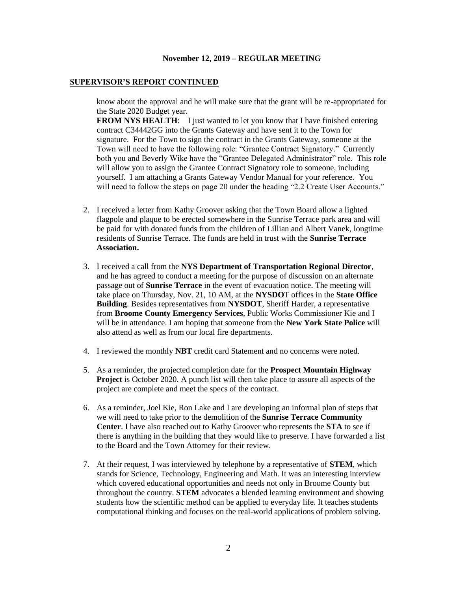#### **SUPERVISOR'S REPORT CONTINUED**

know about the approval and he will make sure that the grant will be re-appropriated for the State 2020 Budget year.

**FROM NYS HEALTH:** I just wanted to let you know that I have finished entering contract C34442GG into the Grants Gateway and have sent it to the Town for signature. For the Town to sign the contract in the Grants Gateway, someone at the Town will need to have the following role: "Grantee Contract Signatory." Currently both you and Beverly Wike have the "Grantee Delegated Administrator" role. This role will allow you to assign the Grantee Contract Signatory role to someone, including yourself. I am attaching a Grants Gateway Vendor Manual for your reference. You will need to follow the steps on page 20 under the heading "2.2 Create User Accounts."

- 2. I received a letter from Kathy Groover asking that the Town Board allow a lighted flagpole and plaque to be erected somewhere in the Sunrise Terrace park area and will be paid for with donated funds from the children of Lillian and Albert Vanek, longtime residents of Sunrise Terrace. The funds are held in trust with the **Sunrise Terrace Association.**
- 3. I received a call from the **NYS Department of Transportation Regional Director**, and he has agreed to conduct a meeting for the purpose of discussion on an alternate passage out of **Sunrise Terrace** in the event of evacuation notice. The meeting will take place on Thursday, Nov. 21, 10 AM, at the **NYSDO**T offices in the **State Office Building**. Besides representatives from **NYSDOT**, Sheriff Harder, a representative from **Broome County Emergency Services**, Public Works Commissioner Kie and I will be in attendance. I am hoping that someone from the **New York State Police** will also attend as well as from our local fire departments.
- 4. I reviewed the monthly **NBT** credit card Statement and no concerns were noted.
- 5. As a reminder, the projected completion date for the **Prospect Mountain Highway Project** is October 2020. A punch list will then take place to assure all aspects of the project are complete and meet the specs of the contract.
- 6. As a reminder, Joel Kie, Ron Lake and I are developing an informal plan of steps that we will need to take prior to the demolition of the **Sunrise Terrace Community Center**. I have also reached out to Kathy Groover who represents the **STA** to see if there is anything in the building that they would like to preserve. I have forwarded a list to the Board and the Town Attorney for their review.
- 7. At their request, I was interviewed by telephone by a representative of **STEM**, which stands for Science, Technology, Engineering and Math. It was an interesting interview which covered educational opportunities and needs not only in Broome County but throughout the country. **STEM** advocates a blended learning environment and showing students how the scientific method can be applied to everyday life. It teaches students computational thinking and focuses on the real-world applications of problem solving.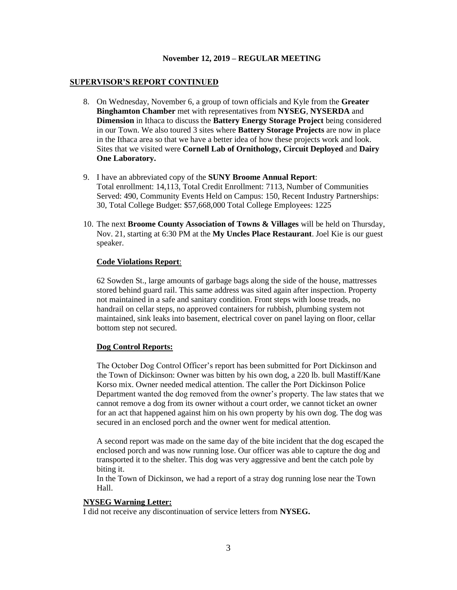#### **SUPERVISOR'S REPORT CONTINUED**

- 8. On Wednesday, November 6, a group of town officials and Kyle from the **Greater Binghamton Chamber** met with representatives from **NYSEG**, **NYSERDA** and **Dimension** in Ithaca to discuss the **Battery Energy Storage Project** being considered in our Town. We also toured 3 sites where **Battery Storage Projects** are now in place in the Ithaca area so that we have a better idea of how these projects work and look. Sites that we visited were **Cornell Lab of Ornithology, Circuit Deployed** and **Dairy One Laboratory.**
- 9. I have an abbreviated copy of the **SUNY Broome Annual Report**: Total enrollment: 14,113, Total Credit Enrollment: 7113, Number of Communities Served: 490, Community Events Held on Campus: 150, Recent Industry Partnerships: 30, Total College Budget: \$57,668,000 Total College Employees: 1225
- 10. The next **Broome County Association of Towns & Villages** will be held on Thursday, Nov. 21, starting at 6:30 PM at the **My Uncles Place Restaurant**. Joel Kie is our guest speaker.

#### **Code Violations Report**:

62 Sowden St., large amounts of garbage bags along the side of the house, mattresses stored behind guard rail. This same address was sited again after inspection. Property not maintained in a safe and sanitary condition. Front steps with loose treads, no handrail on cellar steps, no approved containers for rubbish, plumbing system not maintained, sink leaks into basement, electrical cover on panel laying on floor, cellar bottom step not secured.

## **Dog Control Reports:**

The October Dog Control Officer's report has been submitted for Port Dickinson and the Town of Dickinson: Owner was bitten by his own dog, a 220 lb. bull Mastiff/Kane Korso mix. Owner needed medical attention. The caller the Port Dickinson Police Department wanted the dog removed from the owner's property. The law states that we cannot remove a dog from its owner without a court order, we cannot ticket an owner for an act that happened against him on his own property by his own dog. The dog was secured in an enclosed porch and the owner went for medical attention.

A second report was made on the same day of the bite incident that the dog escaped the enclosed porch and was now running lose. Our officer was able to capture the dog and transported it to the shelter. This dog was very aggressive and bent the catch pole by biting it.

In the Town of Dickinson, we had a report of a stray dog running lose near the Town Hall.

## **NYSEG Warning Letter:**

I did not receive any discontinuation of service letters from **NYSEG.**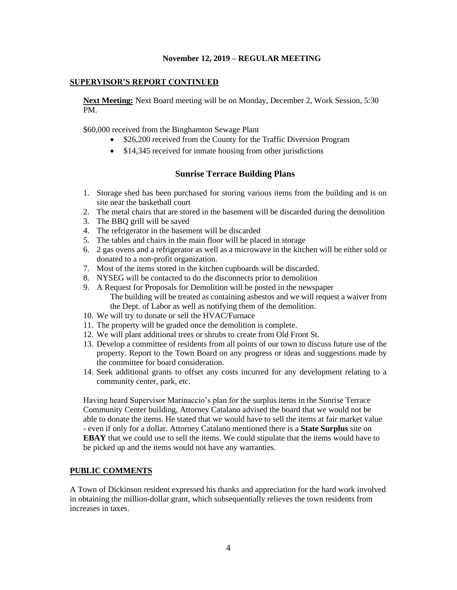#### **SUPERVISOR'S REPORT CONTINUED**

**Next Meeting:** Next Board meeting will be on Monday, December 2, Work Session, 5:30 PM.

\$60,000 received from the Binghamton Sewage Plant

- \$26,200 received from the County for the Traffic Diversion Program
- \$14,345 received for inmate housing from other jurisdictions

# **Sunrise Terrace Building Plans**

- 1. Storage shed has been purchased for storing various items from the building and is on site near the basketball court
- 2. The metal chairs that are stored in the basement will be discarded during the demolition
- 3. The BBQ grill will be saved
- 4. The refrigerator in the basement will be discarded
- 5. The tables and chairs in the main floor will be placed in storage
- 6. 2 gas ovens and a refrigerator as well as a microwave in the kitchen will be either sold or donated to a non-profit organization.
- 7. Most of the items stored in the kitchen cupboards will be discarded.
- 8. NYSEG will be contacted to do the disconnects prior to demolition
- 9. A Request for Proposals for Demolition will be posted in the newspaper The building will be treated as containing asbestos and we will request a waiver from the Dept. of Labor as well as notifying them of the demolition.
- 10. We will try to donate or sell the HVAC/Furnace
- 11. The property will be graded once the demolition is complete.
- 12. We will plant additional trees or shrubs to create from Old Front St.
- 13. Develop a committee of residents from all points of our town to discuss future use of the property. Report to the Town Board on any progress or ideas and suggestions made by the committee for board consideration.
- 14. Seek additional grants to offset any costs incurred for any development relating to a community center, park, etc.

Having heard Supervisor Marinaccio's plan for the surplus items in the Sunrise Terrace Community Center building, Attorney Catalano advised the board that we would not be able to donate the items. He stated that we would have to sell the items at fair market value - even if only for a dollar. Attorney Catalano mentioned there is a **State Surplus** site on **EBAY** that we could use to sell the items. We could stipulate that the items would have to be picked up and the items would not have any warranties.

## **PUBLIC COMMENTS**

A Town of Dickinson resident expressed his thanks and appreciation for the hard work involved in obtaining the million-dollar grant, which subsequentially relieves the town residents from increases in taxes.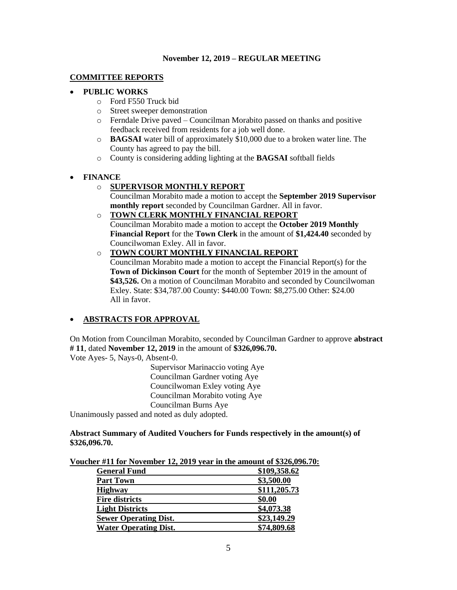# **COMMITTEE REPORTS**

# • **PUBLIC WORKS**

- o Ford F550 Truck bid
- o Street sweeper demonstration
- o Ferndale Drive paved Councilman Morabito passed on thanks and positive feedback received from residents for a job well done.
- o **BAGSAI** water bill of approximately \$10,000 due to a broken water line. The County has agreed to pay the bill.
- o County is considering adding lighting at the **BAGSAI** softball fields

# • **FINANCE**

# o **SUPERVISOR MONTHLY REPORT**

Councilman Morabito made a motion to accept the **September 2019 Supervisor monthly report** seconded by Councilman Gardner. All in favor.

o **TOWN CLERK MONTHLY FINANCIAL REPORT**

Councilman Morabito made a motion to accept the **October 2019 Monthly Financial Report** for the **Town Clerk** in the amount of **\$1,424.40** seconded by Councilwoman Exley. All in favor.

# o **TOWN COURT MONTHLY FINANCIAL REPORT**

Councilman Morabito made a motion to accept the Financial Report(s) for the **Town of Dickinson Court** for the month of September 2019 in the amount of **\$43,526.** On a motion of Councilman Morabito and seconded by Councilwoman Exley. State: \$34,787.00 County: \$440.00 Town: \$8,275.00 Other: \$24.00 All in favor.

# • **ABSTRACTS FOR APPROVAL**

On Motion from Councilman Morabito, seconded by Councilman Gardner to approve **abstract # 11**, dated **November 12, 2019** in the amount of **\$326,096.70.**

Vote Ayes- 5, Nays-0, Absent-0.

Supervisor Marinaccio voting Aye Councilman Gardner voting Aye Councilwoman Exley voting Aye Councilman Morabito voting Aye Councilman Burns Aye

Unanimously passed and noted as duly adopted.

## **Abstract Summary of Audited Vouchers for Funds respectively in the amount(s) of \$326,096.70.**

**Voucher #11 for November 12, 2019 year in the amount of \$326,096.70:** 

| <b>General Fund</b>          | \$109,358.62 |
|------------------------------|--------------|
| <b>Part Town</b>             | \$3,500.00   |
| <b>Highway</b>               | \$111,205.73 |
| <b>Fire districts</b>        | \$0.00       |
| <b>Light Districts</b>       | \$4,073.38   |
| <b>Sewer Operating Dist.</b> | \$23,149.29  |
| <b>Water Operating Dist.</b> | \$74,809.68  |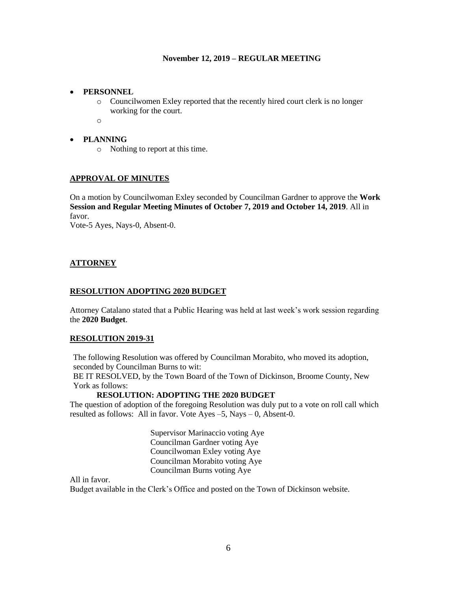#### • **PERSONNEL**

o Councilwomen Exley reported that the recently hired court clerk is no longer working for the court.

o

## • **PLANNING**

o Nothing to report at this time.

## **APPROVAL OF MINUTES**

On a motion by Councilwoman Exley seconded by Councilman Gardner to approve the **Work Session and Regular Meeting Minutes of October 7, 2019 and October 14, 2019**. All in favor.

Vote-5 Ayes, Nays-0, Absent-0.

## **ATTORNEY**

#### **RESOLUTION ADOPTING 2020 BUDGET**

Attorney Catalano stated that a Public Hearing was held at last week's work session regarding the **2020 Budget**.

#### **RESOLUTION 2019-31**

The following Resolution was offered by Councilman Morabito, who moved its adoption, seconded by Councilman Burns to wit:

BE IT RESOLVED, by the Town Board of the Town of Dickinson, Broome County, New York as follows:

## **RESOLUTION: ADOPTING THE 2020 BUDGET**

The question of adoption of the foregoing Resolution was duly put to a vote on roll call which resulted as follows: All in favor. Vote Ayes –5, Nays – 0, Absent-0.

> Supervisor Marinaccio voting Aye Councilman Gardner voting Aye Councilwoman Exley voting Aye Councilman Morabito voting Aye Councilman Burns voting Aye

# All in favor.

Budget available in the Clerk's Office and posted on the Town of Dickinson website.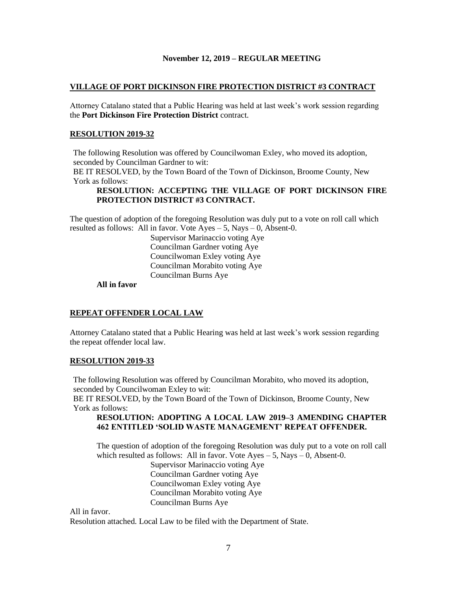#### **VILLAGE OF PORT DICKINSON FIRE PROTECTION DISTRICT #3 CONTRACT**

Attorney Catalano stated that a Public Hearing was held at last week's work session regarding the **Port Dickinson Fire Protection District** contract.

#### **RESOLUTION 2019-32**

The following Resolution was offered by Councilwoman Exley, who moved its adoption, seconded by Councilman Gardner to wit:

BE IT RESOLVED, by the Town Board of the Town of Dickinson, Broome County, New York as follows:

## **RESOLUTION: ACCEPTING THE VILLAGE OF PORT DICKINSON FIRE PROTECTION DISTRICT #3 CONTRACT.**

The question of adoption of the foregoing Resolution was duly put to a vote on roll call which resulted as follows: All in favor. Vote  $Ayes - 5$ , Nays  $- 0$ , Absent-0.

> Supervisor Marinaccio voting Aye Councilman Gardner voting Aye Councilwoman Exley voting Aye Councilman Morabito voting Aye Councilman Burns Aye

**All in favor**

## **REPEAT OFFENDER LOCAL LAW**

Attorney Catalano stated that a Public Hearing was held at last week's work session regarding the repeat offender local law.

#### **RESOLUTION 2019-33**

The following Resolution was offered by Councilman Morabito, who moved its adoption, seconded by Councilwoman Exley to wit:

BE IT RESOLVED, by the Town Board of the Town of Dickinson, Broome County, New York as follows:

## **RESOLUTION: ADOPTING A LOCAL LAW 2019–3 AMENDING CHAPTER 462 ENTITLED 'SOLID WASTE MANAGEMENT' REPEAT OFFENDER.**

The question of adoption of the foregoing Resolution was duly put to a vote on roll call which resulted as follows: All in favor. Vote  $Ayes - 5$ , Nays  $- 0$ , Absent-0.

Supervisor Marinaccio voting Aye Councilman Gardner voting Aye Councilwoman Exley voting Aye Councilman Morabito voting Aye Councilman Burns Aye

All in favor.

Resolution attached. Local Law to be filed with the Department of State.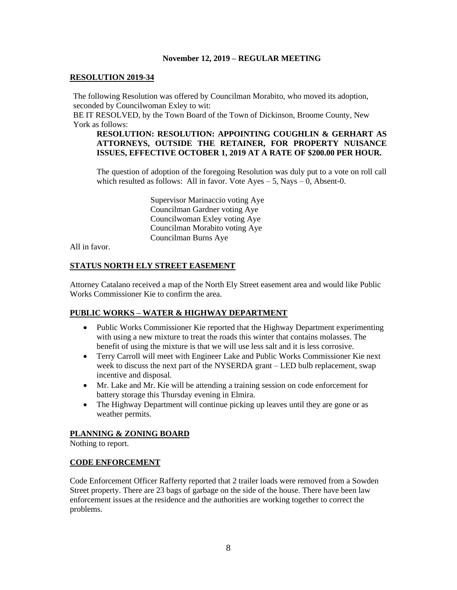#### **RESOLUTION 2019-34**

The following Resolution was offered by Councilman Morabito, who moved its adoption, seconded by Councilwoman Exley to wit:

BE IT RESOLVED, by the Town Board of the Town of Dickinson, Broome County, New York as follows:

#### **RESOLUTION: RESOLUTION: APPOINTING COUGHLIN & GERHART AS ATTORNEYS, OUTSIDE THE RETAINER, FOR PROPERTY NUISANCE ISSUES, EFFECTIVE OCTOBER 1, 2019 AT A RATE OF \$200.00 PER HOUR.**

The question of adoption of the foregoing Resolution was duly put to a vote on roll call which resulted as follows: All in favor. Vote  $Ayes - 5$ , Nays  $- 0$ , Absent-0.

> Supervisor Marinaccio voting Aye Councilman Gardner voting Aye Councilwoman Exley voting Aye Councilman Morabito voting Aye Councilman Burns Aye

All in favor.

## **STATUS NORTH ELY STREET EASEMENT**

Attorney Catalano received a map of the North Ely Street easement area and would like Public Works Commissioner Kie to confirm the area.

## **PUBLIC WORKS – WATER & HIGHWAY DEPARTMENT**

- Public Works Commissioner Kie reported that the Highway Department experimenting with using a new mixture to treat the roads this winter that contains molasses. The benefit of using the mixture is that we will use less salt and it is less corrosive.
- Terry Carroll will meet with Engineer Lake and Public Works Commissioner Kie next week to discuss the next part of the NYSERDA grant – LED bulb replacement, swap incentive and disposal.
- Mr. Lake and Mr. Kie will be attending a training session on code enforcement for battery storage this Thursday evening in Elmira.
- The Highway Department will continue picking up leaves until they are gone or as weather permits.

# **PLANNING & ZONING BOARD**

Nothing to report.

#### **CODE ENFORCEMENT**

Code Enforcement Officer Rafferty reported that 2 trailer loads were removed from a Sowden Street property. There are 23 bags of garbage on the side of the house. There have been law enforcement issues at the residence and the authorities are working together to correct the problems.